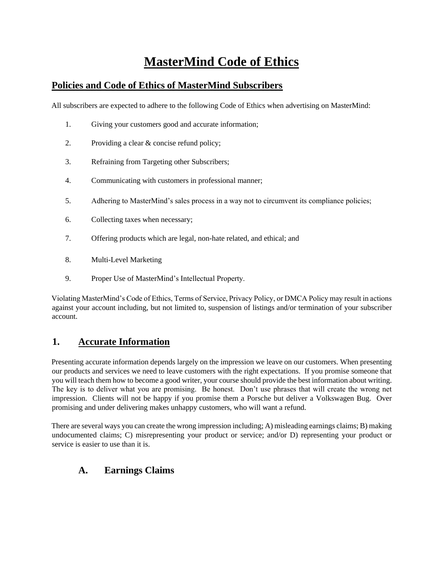# **MasterMind Code of Ethics**

#### **Policies and Code of Ethics of MasterMind Subscribers**

All subscribers are expected to adhere to the following Code of Ethics when advertising on MasterMind:

- 1. Giving your customers good and accurate information;
- 2. Providing a clear & concise refund policy;
- 3. Refraining from Targeting other Subscribers;
- 4. Communicating with customers in professional manner;
- 5. Adhering to MasterMind's sales process in a way not to circumvent its compliance policies;
- 6. Collecting taxes when necessary;
- 7. Offering products which are legal, non-hate related, and ethical; and
- 8. Multi-Level Marketing
- 9. Proper Use of MasterMind's Intellectual Property.

Violating MasterMind's Code of Ethics, Terms of Service, Privacy Policy, or DMCA Policy may result in actions against your account including, but not limited to, suspension of listings and/or termination of your subscriber account.

#### **1. Accurate Information**

Presenting accurate information depends largely on the impression we leave on our customers. When presenting our products and services we need to leave customers with the right expectations. If you promise someone that you will teach them how to become a good writer, your course should provide the best information about writing. The key is to deliver what you are promising. Be honest. Don't use phrases that will create the wrong net impression. Clients will not be happy if you promise them a Porsche but deliver a Volkswagen Bug. Over promising and under delivering makes unhappy customers, who will want a refund.

There are several ways you can create the wrong impression including; A) misleading earnings claims; B) making undocumented claims; C) misrepresenting your product or service; and/or D) representing your product or service is easier to use than it is.

#### **A. Earnings Claims**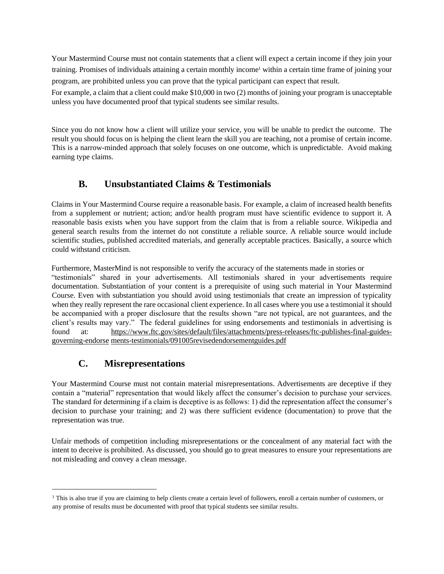Your Mastermind Course must not contain statements that a client will expect a certain income if they join your training. Promises of individuals attaining a certain monthly income<sup>1</sup> within a certain time frame of joining your program, are prohibited unless you can prove that the typical participant can expect that result.

For example, a claim that a client could make \$10,000 in two (2) months of joining your program is unacceptable unless you have documented proof that typical students see similar results.

Since you do not know how a client will utilize your service, you will be unable to predict the outcome. The result you should focus on is helping the client learn the skill you are teaching, not a promise of certain income. This is a narrow-minded approach that solely focuses on one outcome, which is unpredictable. Avoid making earning type claims.

### **B. Unsubstantiated Claims & Testimonials**

Claims in Your Mastermind Course require a reasonable basis. For example, a claim of increased health benefits from a supplement or nutrient; action; and/or health program must have scientific evidence to support it. A reasonable basis exists when you have support from the claim that is from a reliable source. Wikipedia and general search results from the internet do not constitute a reliable source. A reliable source would include scientific studies, published accredited materials, and generally acceptable practices. Basically, a source which could withstand criticism.

Furthermore, MasterMind is not responsible to verify the accuracy of the statements made in stories or "testimonials" shared in your advertisements. All testimonials shared in your advertisements require documentation. Substantiation of your content is a prerequisite of using such material in Your Mastermind Course. Even with substantiation you should avoid using testimonials that create an impression of typicality when they really represent the rare occasional client experience. In all cases where you use a testimonial it should be accompanied with a proper disclosure that the results shown "are not typical, are not guarantees, and the client's results may vary." The federal guidelines for using endorsements and testimonials in advertising is found at: [https://www.ftc.gov/sites/default/files/attachments/press-releases/ftc-publishes-final-guides](https://www.ftc.gov/sites/default/files/attachments/press-releases/ftc-publishes-final-guides-governing-endorsements-testimonials/091005revisedendorsementguides.pdf)[governing-endorse](https://www.ftc.gov/sites/default/files/attachments/press-releases/ftc-publishes-final-guides-governing-endorsements-testimonials/091005revisedendorsementguides.pdf) [ments-testimonials/091005revisedendorsementguides.pdf](https://www.ftc.gov/sites/default/files/attachments/press-releases/ftc-publishes-final-guides-governing-endorsements-testimonials/091005revisedendorsementguides.pdf)

## **C. Misrepresentations**

Your Mastermind Course must not contain material misrepresentations. Advertisements are deceptive if they contain a "material" representation that would likely affect the consumer's decision to purchase your services. The standard for determining if a claim is deceptive is as follows: 1) did the representation affect the consumer's decision to purchase your training; and 2) was there sufficient evidence (documentation) to prove that the representation was true.

Unfair methods of competition including misrepresentations or the concealment of any material fact with the intent to deceive is prohibited. As discussed, you should go to great measures to ensure your representations are not misleading and convey a clean message.

<sup>&</sup>lt;sup>1</sup> This is also true if you are claiming to help clients create a certain level of followers, enroll a certain number of customers, or any promise of results must be documented with proof that typical students see similar results.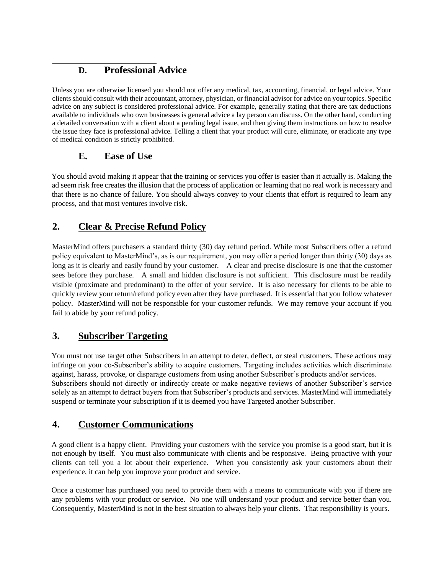## **D. Professional Advice**

Unless you are otherwise licensed you should not offer any medical, tax, accounting, financial, or legal advice. Your clients should consult with their accountant, attorney, physician, or financial advisor for advice on your topics. Specific advice on any subject is considered professional advice. For example, generally stating that there are tax deductions available to individuals who own businesses is general advice a lay person can discuss. On the other hand, conducting a detailed conversation with a client about a pending legal issue, and then giving them instructions on how to resolve the issue they face is professional advice. Telling a client that your product will cure, eliminate, or eradicate any type of medical condition is strictly prohibited.

## **E. Ease of Use**

You should avoid making it appear that the training or services you offer is easier than it actually is. Making the ad seem risk free creates the illusion that the process of application or learning that no real work is necessary and that there is no chance of failure. You should always convey to your clients that effort is required to learn any process, and that most ventures involve risk.

## **2. Clear & Precise Refund Policy**

MasterMind offers purchasers a standard thirty (30) day refund period. While most Subscribers offer a refund policy equivalent to MasterMind's, as is our requirement, you may offer a period longer than thirty (30) days as long as it is clearly and easily found by your customer. A clear and precise disclosure is one that the customer sees before they purchase. A small and hidden disclosure is not sufficient. This disclosure must be readily visible (proximate and predominant) to the offer of your service. It is also necessary for clients to be able to quickly review your return/refund policy even after they have purchased. It is essential that you follow whatever policy. MasterMind will not be responsible for your customer refunds. We may remove your account if you fail to abide by your refund policy.

## **3. Subscriber Targeting**

You must not use target other Subscribers in an attempt to deter, deflect, or steal customers. These actions may infringe on your co-Subscriber's ability to acquire customers. Targeting includes activities which discriminate against, harass, provoke, or disparage customers from using another Subscriber's products and/or services. Subscribers should not directly or indirectly create or make negative reviews of another Subscriber's service solely as an attempt to detract buyers from that Subscriber's products and services. MasterMind will immediately suspend or terminate your subscription if it is deemed you have Targeted another Subscriber.

## **4. Customer Communications**

A good client is a happy client. Providing your customers with the service you promise is a good start, but it is not enough by itself. You must also communicate with clients and be responsive. Being proactive with your clients can tell you a lot about their experience. When you consistently ask your customers about their experience, it can help you improve your product and service.

Once a customer has purchased you need to provide them with a means to communicate with you if there are any problems with your product or service. No one will understand your product and service better than you. Consequently, MasterMind is not in the best situation to always help your clients. That responsibility is yours.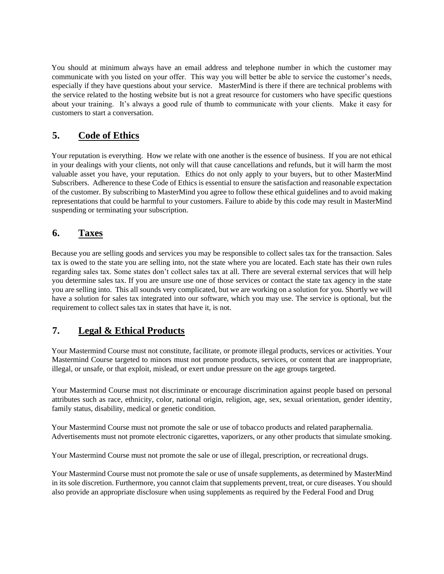You should at minimum always have an email address and telephone number in which the customer may communicate with you listed on your offer. This way you will better be able to service the customer's needs, especially if they have questions about your service. MasterMind is there if there are technical problems with the service related to the hosting website but is not a great resource for customers who have specific questions about your training. It's always a good rule of thumb to communicate with your clients. Make it easy for customers to start a conversation.

## **5. Code of Ethics**

Your reputation is everything. How we relate with one another is the essence of business. If you are not ethical in your dealings with your clients, not only will that cause cancellations and refunds, but it will harm the most valuable asset you have, your reputation. Ethics do not only apply to your buyers, but to other MasterMind Subscribers. Adherence to these Code of Ethics is essential to ensure the satisfaction and reasonable expectation of the customer. By subscribing to MasterMind you agree to follow these ethical guidelines and to avoid making representations that could be harmful to your customers. Failure to abide by this code may result in MasterMind suspending or terminating your subscription.

### **6. Taxes**

Because you are selling goods and services you may be responsible to collect sales tax for the transaction. Sales tax is owed to the state you are selling into, not the state where you are located. Each state has their own rules regarding sales tax. Some states don't collect sales tax at all. There are several external services that will help you determine sales tax. If you are unsure use one of those services or contact the state tax agency in the state you are selling into. This all sounds very complicated, but we are working on a solution for you. Shortly we will have a solution for sales tax integrated into our software, which you may use. The service is optional, but the requirement to collect sales tax in states that have it, is not.

#### **7. Legal & Ethical Products**

Your Mastermind Course must not constitute, facilitate, or promote illegal products, services or activities. Your Mastermind Course targeted to minors must not promote products, services, or content that are inappropriate, illegal, or unsafe, or that exploit, mislead, or exert undue pressure on the age groups targeted.

Your Mastermind Course must not discriminate or encourage discrimination against people based on personal attributes such as race, ethnicity, color, national origin, religion, age, sex, sexual orientation, gender identity, family status, disability, medical or genetic condition.

Your Mastermind Course must not promote the sale or use of tobacco products and related paraphernalia. Advertisements must not promote electronic cigarettes, vaporizers, or any other products that simulate smoking.

Your Mastermind Course must not promote the sale or use of illegal, prescription, or recreational drugs.

Your Mastermind Course must not promote the sale or use of unsafe supplements, as determined by MasterMind in its sole discretion. Furthermore, you cannot claim that supplements prevent, treat, or cure diseases. You should also provide an appropriate disclosure when using supplements as required by the Federal Food and Drug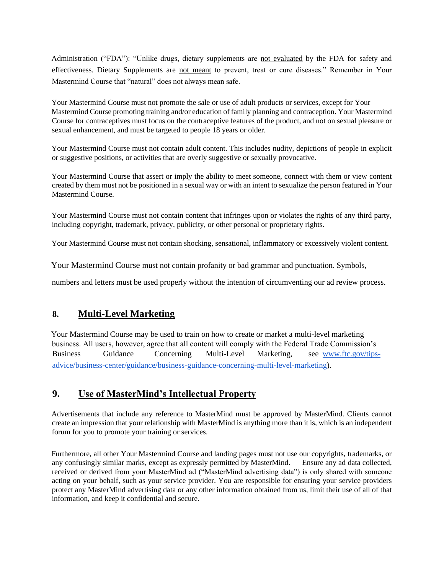Administration ("FDA"): "Unlike drugs, dietary supplements are not evaluated by the FDA for safety and effectiveness. Dietary Supplements are not meant to prevent, treat or cure diseases." Remember in Your Mastermind Course that "natural" does not always mean safe.

Your Mastermind Course must not promote the sale or use of adult products or services, except for Your Mastermind Course promoting training and/or education of family planning and contraception. Your Mastermind Course for contraceptives must focus on the contraceptive features of the product, and not on sexual pleasure or sexual enhancement, and must be targeted to people 18 years or older.

Your Mastermind Course must not contain adult content. This includes nudity, depictions of people in explicit or suggestive positions, or activities that are overly suggestive or sexually provocative.

Your Mastermind Course that assert or imply the ability to meet someone, connect with them or view content created by them must not be positioned in a sexual way or with an intent to sexualize the person featured in Your Mastermind Course.

Your Mastermind Course must not contain content that infringes upon or violates the rights of any third party, including copyright, trademark, privacy, publicity, or other personal or proprietary rights.

Your Mastermind Course must not contain shocking, sensational, inflammatory or excessively violent content.

Your Mastermind Course must not contain profanity or bad grammar and punctuation. Symbols,

numbers and letters must be used properly without the intention of circumventing our ad review process.

#### **8. Multi-Level Marketing**

Your Mastermind Course may be used to train on how to create or market a multi-level marketing business. All users, however, agree that all content will comply with the Federal Trade Commission's Business Guidance Concerning Multi-Level Marketing, see [www.ftc.gov/tips](http://www.ftc.gov/tips-advice/business-center/guidance/business-guidance-concerning-multi-level-marketing)[advice/business-center/guidance/business-guidance-concerning-multi-level-marketing\).](http://www.ftc.gov/tips-advice/business-center/guidance/business-guidance-concerning-multi-level-marketing)

#### **9. Use of MasterMind's Intellectual Property**

Advertisements that include any reference to MasterMind must be approved by MasterMind. Clients cannot create an impression that your relationship with MasterMind is anything more than it is, which is an independent forum for you to promote your training or services.

Furthermore, all other Your Mastermind Course and landing pages must not use our copyrights, trademarks, or any confusingly similar marks, except as expressly permitted by MasterMind. Ensure any ad data collected, received or derived from your MasterMind ad ("MasterMind advertising data") is only shared with someone acting on your behalf, such as your service provider. You are responsible for ensuring your service providers protect any MasterMind advertising data or any other information obtained from us, limit their use of all of that information, and keep it confidential and secure.